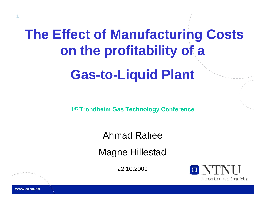# **The Effect of Manufacturing Costs on the profitability of a Gas-to-Liquid Plant**

**1st Trondheim Gas Technology Conference**

### Ahmad Rafiee

Magne Hillestad

22.10.2009



www.ntnu.no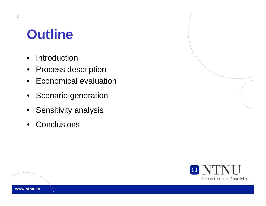## **Outline**

- $\bullet$ Introduction
- Process description
- Economical evaluation
- Scenario generation
- Sensitivity analysis
- Conclusions

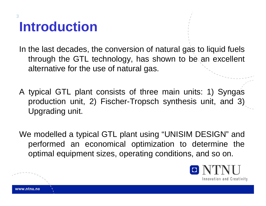## **Introduction**

**3**

In the last decades, the conversion of natural gas to liquid fuels through the GTL technology, has shown to be an excellent alternative for the use of natural gas.

A typical GTL plant consists of three main units: 1) Syngas production unit, 2) Fischer-Tropsch synthesis unit, and 3) Upgrading unit.

We modelled a typical GTL plant using "UNISIM DESIGN" and performed an economical optimization to determine the optimal equipment sizes, operating conditions, and so on.

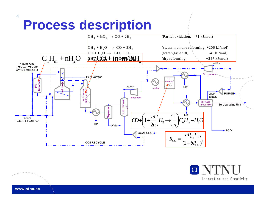## **Process description**





www.ntnu.no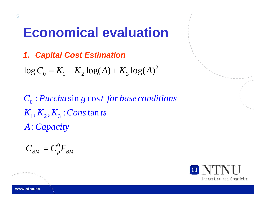### **Economical evaluation**

*1. Capital Cost Estimation*

2  $\log C_0 = K_1 + K_2 \log(A) + K_3 \log(A)$ 

 $C_{\text{o}}$  : Purcha  $\sin g \cos t$  for base conditions  $K_{1}, K_{2}, K_{3}$  :  $Cons$   $\tan ts$ : *A C apacity*

$$
C_{BM} = C_p^0 F_{BM}
$$

O NT Innovation and Creativity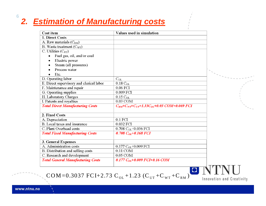#### *2. Estimation of Manufacturing costs*

| Cost item                                | Values used in simulation                                         |  |
|------------------------------------------|-------------------------------------------------------------------|--|
| 1. Direct Costs                          |                                                                   |  |
| A. Raw materials (C <sub>RM</sub> )      |                                                                   |  |
| B. Waste treatment $(C_{WT})$            |                                                                   |  |
| C. Utilities $(C_{UT})$                  |                                                                   |  |
| Fuel gas, oil, and/or coal               |                                                                   |  |
| Electric power                           |                                                                   |  |
| Steam (all pressures)                    |                                                                   |  |
| Process water                            |                                                                   |  |
| Etc.                                     |                                                                   |  |
| D. Operating labor                       | $C_{OL}$                                                          |  |
| E. Direct supervisory and clerical labor | $0.18\rm\,C_{OL}$                                                 |  |
| F. Maintenance and repair                | 0.06 FCI                                                          |  |
| G. Operating supplies                    | 0.009 FCI                                                         |  |
| H. Laboratory Charges                    | $0.15\text{ C}_{OL}$                                              |  |
| I. Patents and royalties                 | 0.03 COM                                                          |  |
| <b>Total Direct Manufacturing Costs</b>  | $C_{RM}$ + $C_{WT}$ + $C_{UT}$ +1.33 $C_{OL}$ +0.03 COM+0.069 FCI |  |
|                                          |                                                                   |  |
| 2. Fixed Costs                           |                                                                   |  |
| A. Depreciation                          | $0.1$ FCI                                                         |  |
| B. Local taxes and insurance             | 0.032 FCI                                                         |  |
| C. Plant Overhead costs                  | 0.708 $C_{OL}$ +0.036 FCI                                         |  |
| <b>Total Fixed Manufacturing Costs</b>   | 0.708 $C_{OL}+0.168$ FCI                                          |  |
|                                          |                                                                   |  |
| 3. General Expenses                      |                                                                   |  |
| A. Administration costs                  | $0.177 C_{OL} + 0.009$ FCI                                        |  |
| B. Distribution and selling costs        | $0.11$ COM                                                        |  |
| C. Research and development              | $0.05$ COM                                                        |  |
| <b>Total General Manufacturing Costs</b> | $0.177 C_{OL} + 0.009 FCI + 0.16 COM$                             |  |
|                                          |                                                                   |  |

 $\text{COM=}$  0.3037 FCI+2.73 C<sub>ol</sub> +1.23 (C<sub>ut</sub> +C<sub>wt</sub> +C<sub>rm</sub>)

Innovation and Creativity

www.ntnu.no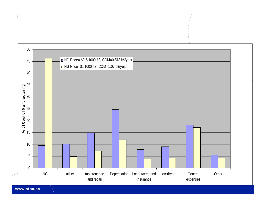

www.ntnu.no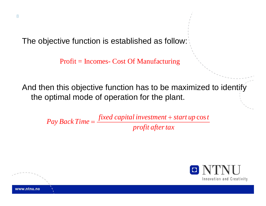The objective function is established as follow:

Profit = Incomes- Cost Of Manufacturing

And then this objective function has to be maximized to identify the optimal mode of operation for the plant.

Pay Back Time =  $\frac{\text{fixed capital investment} + \text{start up cost}}{\text{profit after tax}}$ 



www.ntnu.no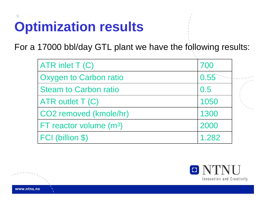## **Optimization results**

For a 17000 bbl/day GTL plant we have the following results:

| ATR inlet T (C)              | 700   |
|------------------------------|-------|
| Oxygen to Carbon ratio       | 0.55  |
| <b>Steam to Carbon ratio</b> | 0.5   |
| ATR outlet $T(C)$            | 1050  |
| CO2 removed (kmole/hr)       | 1300  |
| $FT$ reactor volume $(m3)$   | 2000  |
| <b>FCI (billion \$)</b>      | 1.282 |



www.ntnu.no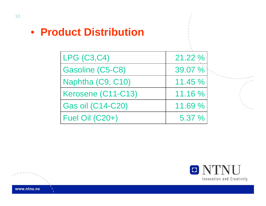• **Product Distribution**

| <b>LPG (C3,C4)</b>       | 21.22 % |
|--------------------------|---------|
| Gasoline (C5-C8)         | 39.07 % |
| Naphtha (C9, C10)        | 11.45%  |
| Kerosene (C11-C13)       | 11.16 % |
| <b>Gas oil (C14-C20)</b> | 11.69 % |
| Fuel Oil (C20+)          | 5.37 %  |

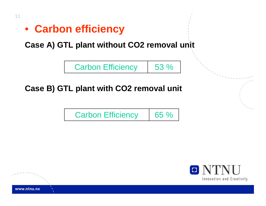• **Carbon efficiency**

**Case A) GTL plant without CO2 removal unit**



#### **Case B) GTL plant with CO2 removal unit**





www.ntnu.no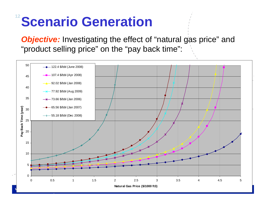## <sup>12</sup> Scenario Generation

**Objective:** Investigating the effect of "natural gas price" and "product selling price" on the "pay back time":



**Natural Gas Price (\$/1000 ft3)**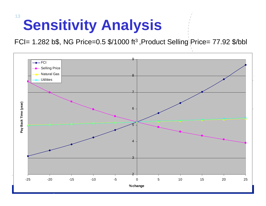# **Sensitivity Analysis**

FCI= 1.282 b\$, NG Price=0.5 \$/1000 ft3 ,Product Selling Price= 77.92 \$/bbl

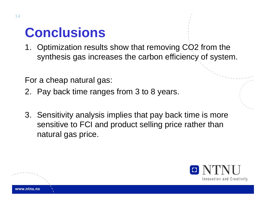## **Conclusions**

1. Optimization results show that removing CO2 from the synthesis gas increases the carbon efficiency of system.

For a cheap natural gas:

- 2. Pay back time ranges from 3 to 8 years.
- 3. Sensitivity analysis implies that pay back time is more sensitive to FCI and product selling price rather than natural gas price.